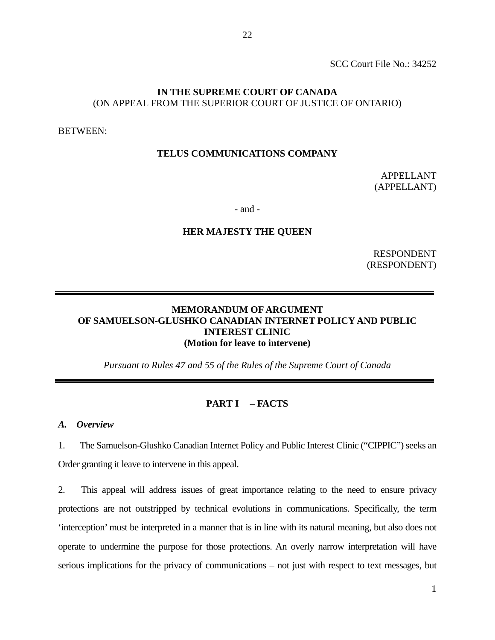## **IN THE SUPREME COURT OF CANADA** (ON APPEAL FROM THE SUPERIOR COURT OF JUSTICE OF ONTARIO)

BETWEEN:

### **TELUS COMMUNICATIONS COMPANY**

APPELLANT (APPELLANT)

- and -

#### **HER MAJESTY THE QUEEN**

RESPONDENT (RESPONDENT)

# **MEMORANDUM OF ARGUMENT OF SAMUELSON-GLUSHKO CANADIAN INTERNET POLICY AND PUBLIC INTEREST CLINIC (Motion for leave to intervene)**

*Pursuant to Rules 47 and 55 of the Rules of the Supreme Court of Canada* 

#### **PART I – FACTS**

*A. Overview* 

1. The Samuelson-Glushko Canadian Internet Policy and Public Interest Clinic ("CIPPIC") seeks an Order granting it leave to intervene in this appeal.

2. This appeal will address issues of great importance relating to the need to ensure privacy protections are not outstripped by technical evolutions in communications. Specifically, the term 'interception' must be interpreted in a manner that is in line with its natural meaning, but also does not operate to undermine the purpose for those protections. An overly narrow interpretation will have serious implications for the privacy of communications – not just with respect to text messages, but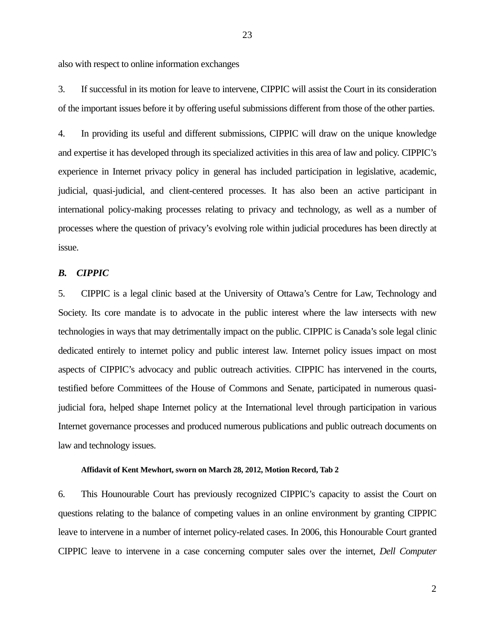also with respect to online information exchanges

3. If successful in its motion for leave to intervene, CIPPIC will assist the Court in its consideration of the important issues before it by offering useful submissions different from those of the other parties.

4. In providing its useful and different submissions, CIPPIC will draw on the unique knowledge and expertise it has developed through its specialized activities in this area of law and policy. CIPPIC's experience in Internet privacy policy in general has included participation in legislative, academic, judicial, quasi-judicial, and client-centered processes. It has also been an active participant in international policy-making processes relating to privacy and technology, as well as a number of processes where the question of privacy's evolving role within judicial procedures has been directly at issue.

## *B. CIPPIC*

5. CIPPIC is a legal clinic based at the University of Ottawa's Centre for Law, Technology and Society. Its core mandate is to advocate in the public interest where the law intersects with new technologies in ways that may detrimentally impact on the public. CIPPIC is Canada's sole legal clinic dedicated entirely to internet policy and public interest law. Internet policy issues impact on most aspects of CIPPIC's advocacy and public outreach activities. CIPPIC has intervened in the courts, testified before Committees of the House of Commons and Senate, participated in numerous quasijudicial fora, helped shape Internet policy at the International level through participation in various Internet governance processes and produced numerous publications and public outreach documents on law and technology issues.

#### **Affidavit of Kent Mewhort, sworn on March 28, 2012, Motion Record, Tab 2**

6. This Hounourable Court has previously recognized CIPPIC's capacity to assist the Court on questions relating to the balance of competing values in an online environment by granting CIPPIC leave to intervene in a number of internet policy-related cases. In 2006, this Honourable Court granted CIPPIC leave to intervene in a case concerning computer sales over the internet, *Dell Computer*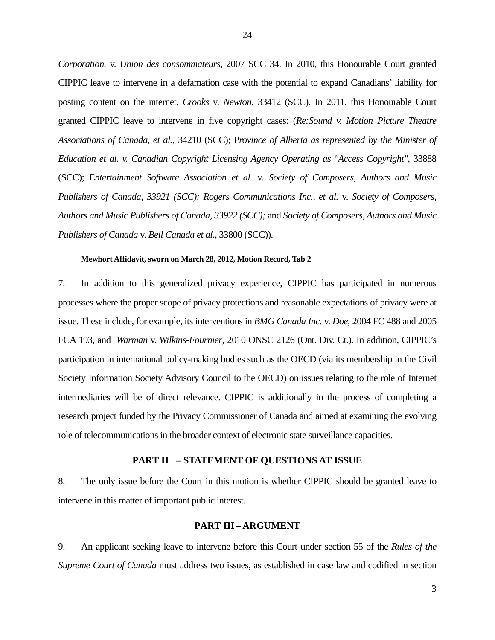*Corporation.* v. *Union des consommateurs*, 2007 SCC 34. In 2010, this Honourable Court granted CIPPIC leave to intervene in a defamation case with the potential to expand Canadians' liability for posting content on the internet, *Crooks* v. *Newton*, 33412 (SCC). In 2011, this Honourable Court granted CIPPIC leave to intervene in five copyright cases: (*Re:Sound v. Motion Picture Theatre Associations of Canada, et al.,* 34210 (SCC); P*rovince of Alberta as represented by the Minister of*  Education et al. v. Canadian Copyright Licensing Agency Operating as "Access Copyright", 33888 (SCC); E*ntertainment Software Association et al.* v. *Society of Composers, Authors and Music Publishers of Canada, 33921 (SCC); Rogers Communications Inc., et al.* v. *Society of Composers, Authors and Music Publishers of Canada, 33922 (SCC);* and *Society of Composers, Authors and Music Publishers of Canada* v. *Bell Canada et al.*, 33800 (SCC)).

#### **Mewhort Affidavit, sworn on March 28, 2012, Motion Record, Tab 2**

7. In addition to this generalized privacy experience, CIPPIC has participated in numerous processes where the proper scope of privacy protections and reasonable expectations of privacy were at issue. These include, for example, its interventions in *BMG Canada Inc.* v. *Doe*, 2004 FC 488 and 2005 FCA 193, and *Warman* v. *Wilkins-Fournier*, 2010 ONSC 2126 (Ont. Div. Ct.). In addition, CIPPIC's participation in international policy-making bodies such as the OECD (via its membership in the Civil Society Information Society Advisory Council to the OECD) on issues relating to the role of Internet intermediaries will be of direct relevance. CIPPIC is additionally in the process of completing a research project funded by the Privacy Commissioner of Canada and aimed at examining the evolving role of telecommunications in the broader context of electronic state surveillance capacities.

### **PART II – STATEMENT OF QUESTIONS AT ISSUE**

8. The only issue before the Court in this motion is whether CIPPIC should be granted leave to intervene in this matter of important public interest.

#### **PART III– ARGUMENT**

9. An applicant seeking leave to intervene before this Court under section 55 of the *Rules of the Supreme Court of Canada* must address two issues, as established in case law and codified in section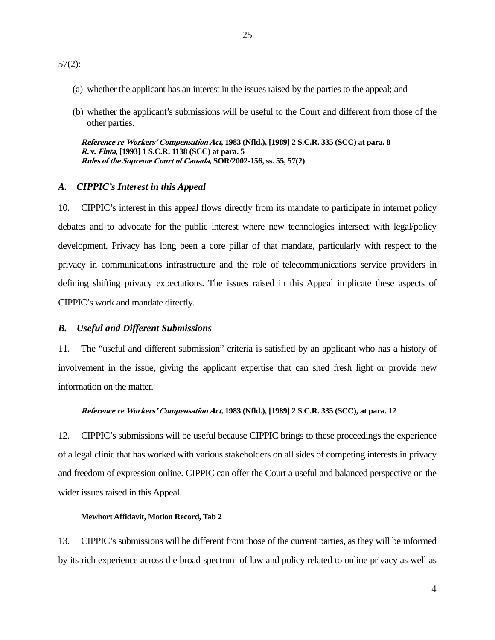- (a) whether the applicant has an interest in the issues raised by the parties to the appeal; and
- (b) whether the applicant's submissions will be useful to the Court and different from those of the other parties.

**Reference re Workers' Compensation Act, 1983 (Nfld.), [1989] 2 S.C.R. 335 (SCC) at para. 8 R. v. Finta, [1993] 1 S.C.R. 1138 (SCC) at para. 5 Rules of the Supreme Court of Canada, SOR/2002-156, ss. 55, 57(2)** 

#### *A. CIPPIC's Interest in this Appeal*

10. CIPPIC's interest in this appeal flows directly from its mandate to participate in internet policy debates and to advocate for the public interest where new technologies intersect with legal/policy development. Privacy has long been a core pillar of that mandate, particularly with respect to the privacy in communications infrastructure and the role of telecommunications service providers in defining shifting privacy expectations. The issues raised in this Appeal implicate these aspects of CIPPIC's work and mandate directly.

#### *B. Useful and Different Submissions*

11. The "useful and different submission" criteria is satisfied by an applicant who has a history of involvement in the issue, giving the applicant expertise that can shed fresh light or provide new information on the matter.

#### **Reference re Workers' Compensation Act, 1983 (Nfld.), [1989] 2 S.C.R. 335 (SCC), at para. 12**

12. CIPPIC's submissions will be useful because CIPPIC brings to these proceedings the experience of a legal clinic that has worked with various stakeholders on all sides of competing interests in privacy and freedom of expression online. CIPPIC can offer the Court a useful and balanced perspective on the wider issues raised in this Appeal.

#### **Mewhort Affidavit, Motion Record, Tab 2**

13. CIPPIC's submissions will be different from those of the current parties, as they will be informed by its rich experience across the broad spectrum of law and policy related to online privacy as well as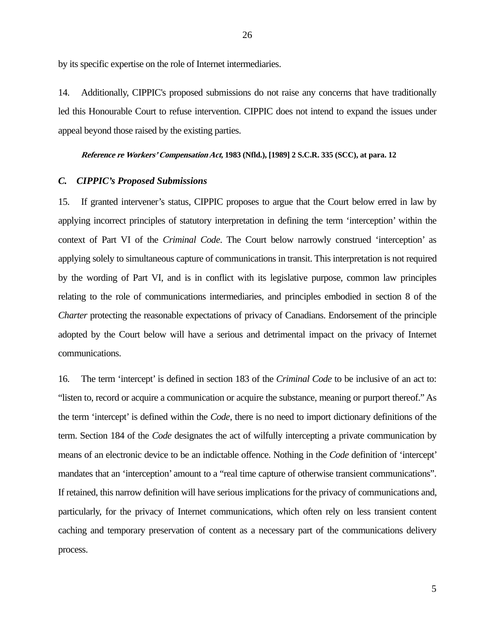by its specific expertise on the role of Internet intermediaries.

14. Additionally, CIPPIC's proposed submissions do not raise any concerns that have traditionally led this Honourable Court to refuse intervention. CIPPIC does not intend to expand the issues under appeal beyond those raised by the existing parties.

#### **Reference re Workers' Compensation Act, 1983 (Nfld.), [1989] 2 S.C.R. 335 (SCC), at para. 12**

#### *C. CIPPIC's Proposed Submissions*

15. If granted intervener's status, CIPPIC proposes to argue that the Court below erred in law by applying incorrect principles of statutory interpretation in defining the term 'interception' within the context of Part VI of the *Criminal Code*. The Court below narrowly construed 'interception' as applying solely to simultaneous capture of communications in transit. This interpretation is not required by the wording of Part VI, and is in conflict with its legislative purpose, common law principles relating to the role of communications intermediaries, and principles embodied in section 8 of the *Charter* protecting the reasonable expectations of privacy of Canadians. Endorsement of the principle adopted by the Court below will have a serious and detrimental impact on the privacy of Internet communications.

16. The term 'intercept' is defined in section 183 of the *Criminal Code* to be inclusive of an act to: "listen to, record or acquire a communication or acquire the substance, meaning or purport thereof." As the term 'intercept' is defined within the *Code*, there is no need to import dictionary definitions of the term. Section 184 of the *Code* designates the act of wilfully intercepting a private communication by means of an electronic device to be an indictable offence. Nothing in the *Code* definition of 'intercept' mandates that an 'interception' amount to a "real time capture of otherwise transient communications". If retained, this narrow definition will have serious implications for the privacy of communications and, particularly, for the privacy of Internet communications, which often rely on less transient content caching and temporary preservation of content as a necessary part of the communications delivery process.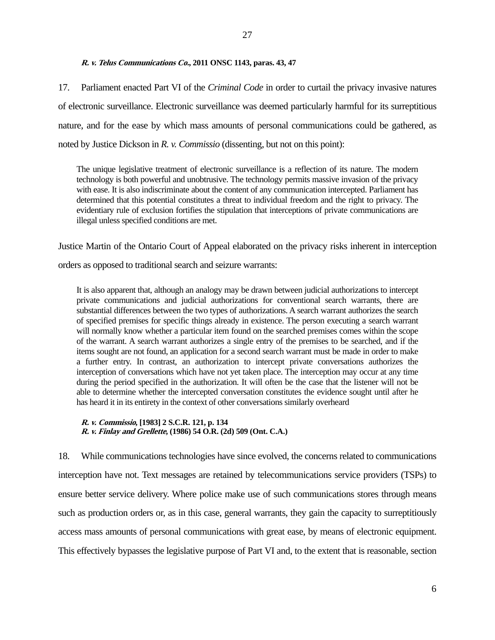17. Parliament enacted Part VI of the *Criminal Code* in order to curtail the privacy invasive natures of electronic surveillance. Electronic surveillance was deemed particularly harmful for its surreptitious nature, and for the ease by which mass amounts of personal communications could be gathered, as noted by Justice Dickson in *R. v. Commissio* (dissenting, but not on this point):

The unique legislative treatment of electronic surveillance is a reflection of its nature. The modern technology is both powerful and unobtrusive. The technology permits massive invasion of the privacy with ease. It is also indiscriminate about the content of any communication intercepted. Parliament has determined that this potential constitutes a threat to individual freedom and the right to privacy. The evidentiary rule of exclusion fortifies the stipulation that interceptions of private communications are illegal unless specified conditions are met.

Justice Martin of the Ontario Court of Appeal elaborated on the privacy risks inherent in interception

orders as opposed to traditional search and seizure warrants:

It is also apparent that, although an analogy may be drawn between judicial authorizations to intercept private communications and judicial authorizations for conventional search warrants, there are substantial differences between the two types of authorizations. A search warrant authorizes the search of specified premises for specific things already in existence. The person executing a search warrant will normally know whether a particular item found on the searched premises comes within the scope of the warrant. A search warrant authorizes a single entry of the premises to be searched, and if the items sought are not found, an application for a second search warrant must be made in order to make a further entry. In contrast, an authorization to intercept private conversations authorizes the interception of conversations which have not yet taken place. The interception may occur at any time during the period specified in the authorization. It will often be the case that the listener will not be able to determine whether the intercepted conversation constitutes the evidence sought until after he has heard it in its entirety in the context of other conversations similarly overheard

### **R. v. Commissio, [1983] 2 S.C.R. 121, p. 134 R. v. Finlay and Grellette, (1986) 54 O.R. (2d) 509 (Ont. C.A.)**

18. While communications technologies have since evolved, the concerns related to communications interception have not. Text messages are retained by telecommunications service providers (TSPs) to ensure better service delivery. Where police make use of such communications stores through means such as production orders or, as in this case, general warrants, they gain the capacity to surreptitiously access mass amounts of personal communications with great ease, by means of electronic equipment. This effectively bypasses the legislative purpose of Part VI and, to the extent that is reasonable, section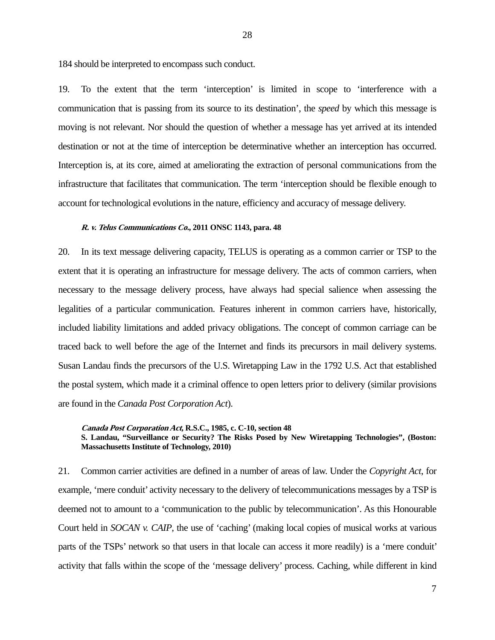184 should be interpreted to encompass such conduct.

19. To the extent that the term 'interception' is limited in scope to 'interference with a communication that is passing from its source to its destination', the *speed* by which this message is moving is not relevant. Nor should the question of whether a message has yet arrived at its intended destination or not at the time of interception be determinative whether an interception has occurred. Interception is, at its core, aimed at ameliorating the extraction of personal communications from the infrastructure that facilitates that communication. The term 'interception should be flexible enough to account for technological evolutions in the nature, efficiency and accuracy of message delivery.

#### **R. v. Telus Communications Co., 2011 ONSC 1143, para. 48**

20. In its text message delivering capacity, TELUS is operating as a common carrier or TSP to the extent that it is operating an infrastructure for message delivery. The acts of common carriers, when necessary to the message delivery process, have always had special salience when assessing the legalities of a particular communication. Features inherent in common carriers have, historically, included liability limitations and added privacy obligations. The concept of common carriage can be traced back to well before the age of the Internet and finds its precursors in mail delivery systems. Susan Landau finds the precursors of the U.S. Wiretapping Law in the 1792 U.S. Act that established the postal system, which made it a criminal offence to open letters prior to delivery (similar provisions are found in the *Canada Post Corporation Act*).

**Canada Post Corporation Act, R.S.C., 1985, c. C-10, section 48 S. Landau, "Surveillance or Security? The Risks Posed by New Wiretapping Technologies", (Boston: Massachusetts Institute of Technology, 2010)** 

21. Common carrier activities are defined in a number of areas of law. Under the *Copyright Act*, for example, 'mere conduit' activity necessary to the delivery of telecommunications messages by a TSP is deemed not to amount to a 'communication to the public by telecommunication'. As this Honourable Court held in *SOCAN v. CAIP*, the use of 'caching' (making local copies of musical works at various parts of the TSPs' network so that users in that locale can access it more readily) is a 'mere conduit' activity that falls within the scope of the 'message delivery' process. Caching, while different in kind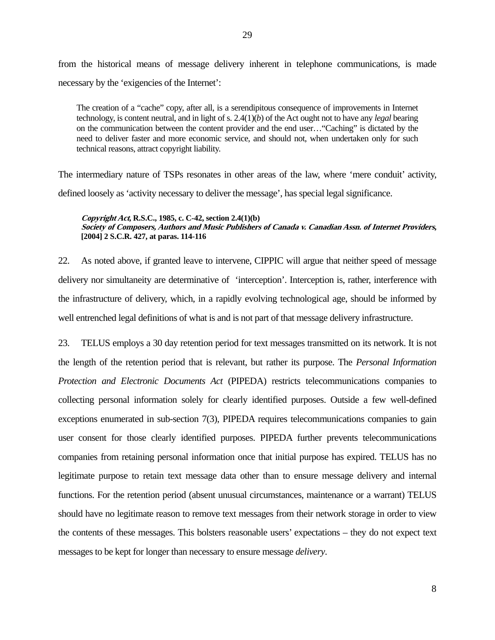The creation of a "cache" copy, after all, is a serendipitous consequence of improvements in Internet technology, is content neutral, and in light of s. 2.4(1)(*b*) of the Act ought not to have any *legal* bearing on the communication between the content provider and the end user…"Caching" is dictated by the need to deliver faster and more economic service, and should not, when undertaken only for such technical reasons, attract copyright liability.

The intermediary nature of TSPs resonates in other areas of the law, where 'mere conduit' activity, defined loosely as 'activity necessary to deliver the message', has special legal significance.

#### **Copyright Act, R.S.C., 1985, c. C-42, section 2.4(1)(b) Society of Composers, Authors and Music Publishers of Canada v. Canadian Assn. of Internet Providers, [2004] 2 S.C.R. 427, at paras. 114-116**

22. As noted above, if granted leave to intervene, CIPPIC will argue that neither speed of message delivery nor simultaneity are determinative of 'interception'. Interception is, rather, interference with the infrastructure of delivery, which, in a rapidly evolving technological age, should be informed by well entrenched legal definitions of what is and is not part of that message delivery infrastructure.

23. TELUS employs a 30 day retention period for text messages transmitted on its network. It is not the length of the retention period that is relevant, but rather its purpose. The *Personal Information Protection and Electronic Documents Act* (PIPEDA) restricts telecommunications companies to collecting personal information solely for clearly identified purposes. Outside a few well-defined exceptions enumerated in sub-section 7(3), PIPEDA requires telecommunications companies to gain user consent for those clearly identified purposes. PIPEDA further prevents telecommunications companies from retaining personal information once that initial purpose has expired. TELUS has no legitimate purpose to retain text message data other than to ensure message delivery and internal functions. For the retention period (absent unusual circumstances, maintenance or a warrant) TELUS should have no legitimate reason to remove text messages from their network storage in order to view the contents of these messages. This bolsters reasonable users' expectations – they do not expect text messages to be kept for longer than necessary to ensure message *delivery*.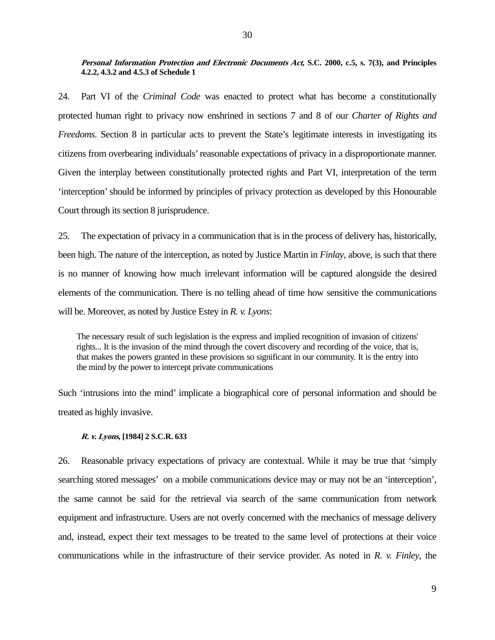**Personal Information Protection and Electronic Documents Act, S.C. 2000, c.5, s. 7(3), and Principles 4.2.2, 4.3.2 and 4.5.3 of Schedule 1** 

24. Part VI of the *Criminal Code* was enacted to protect what has become a constitutionally protected human right to privacy now enshrined in sections 7 and 8 of our *Charter of Rights and Freedoms*. Section 8 in particular acts to prevent the State's legitimate interests in investigating its citizens from overbearing individuals' reasonable expectations of privacy in a disproportionate manner. Given the interplay between constitutionally protected rights and Part VI, interpretation of the term 'interception' should be informed by principles of privacy protection as developed by this Honourable Court through its section 8 jurisprudence.

25. The expectation of privacy in a communication that is in the process of delivery has, historically, been high. The nature of the interception, as noted by Justice Martin in *Finlay*, above, is such that there is no manner of knowing how much irrelevant information will be captured alongside the desired elements of the communication. There is no telling ahead of time how sensitive the communications will be. Moreover, as noted by Justice Estey in *R. v. Lyons*:

The necessary result of such legislation is the express and implied recognition of invasion of citizens' rights... It is the invasion of the mind through the covert discovery and recording of the voice, that is, that makes the powers granted in these provisions so significant in our community. It is the entry into the mind by the power to intercept private communications

Such 'intrusions into the mind' implicate a biographical core of personal information and should be treated as highly invasive.

#### **R. v. Lyons, [1984] 2 S.C.R. 633**

26. Reasonable privacy expectations of privacy are contextual. While it may be true that 'simply searching stored messages' on a mobile communications device may or may not be an 'interception', the same cannot be said for the retrieval via search of the same communication from network equipment and infrastructure. Users are not overly concerned with the mechanics of message delivery and, instead, expect their text messages to be treated to the same level of protections at their voice communications while in the infrastructure of their service provider. As noted in *R. v. Finley*, the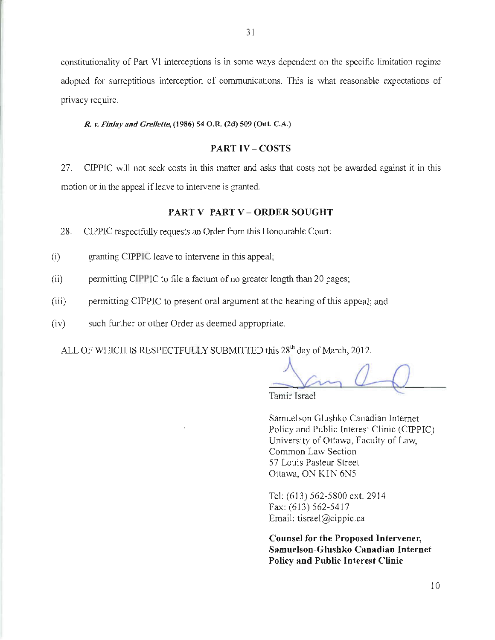constitutionality of Part V1 interceptions is in some ways dependent on the specific limitation regime adopted for surreptitious interception of communications. This is what reasonable expectations of privacy require.

#### R. v. Finlay and Grellette, (1986) 54 O.R. (2d) 509 (Ont. C.A.)

# **PART IV-COSTS**

CIPPIC will not seek costs in this matter and asks that costs not be awarded against it in this 27. motion or in the appeal if leave to intervene is granted.

# PART V PART V - ORDER SOUGHT

28. CIPPIC respectfully requests an Order from this Honourable Court:

- granting CIPPIC leave to intervene in this appeal;  $(i)$
- $(ii)$ permitting CIPPIC to file a factum of no greater length than 20 pages;
- $(iii)$ permitting CIPPIC to present oral argument at the hearing of this appeal; and
- $(iv)$ such further or other Order as deemed appropriate.

ALL OF WHICH IS RESPECTFULLY SUBMITTED this 28<sup>th</sup> day of March, 2012.

Tamir Israel

Samuelson Glushko Canadian Internet Policy and Public Interest Clinic (CIPPIC) University of Ottawa, Faculty of Law, Common Law Section 57 Louis Pasteur Street Ottawa, ON K1N 6N5

Tel: (613) 562-5800 ext. 2914 Fax: (613) 562-5417 Email: tisrael@cippic.ca

Counsel for the Proposed Intervener, Samuelson-Glushko Canadian Internet **Policy and Public Interest Clinic**